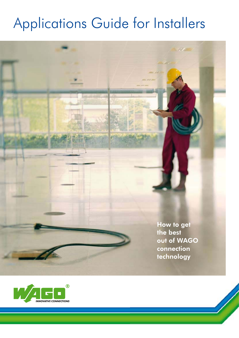# Applications Guide for Installers

How to get<br>the best out of WAGO connection technology

technology is a substantial of the state of the state of the state of the state of the state of the state of the state of the state of the state of the state of the state of the state of the state of the state of the state

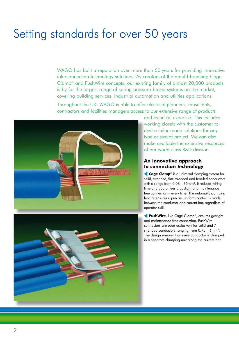### Setting standards for over 50 years

WAGO has built a reputation over more than 50 years for providing innovative interconnection technology solutions. As creators of the mould-breaking Cage Clamp® and PushWire concepts, our existing family of almost 20,000 products is by far the largest range of spring pressure-based systems on the market, covering building services, industrial automation and utilities applications.

Throughout the UK, WAGO is able to offer electrical planners, consultants, contractors and facilities managers access to our extensive range of products





and technical expertise. This includes working closely with the customer to devise tailor-made solutions for any type or size of project. We can also make available the extensive resources of our world-class R&D division.

#### **An innovative approach to connection technology**

**Cage Clamp®** is a universal clamping system for solid, stranded, fine stranded and ferruled conductors with a range from 0.08 – 35mm<sup>2</sup>. It reduces wiring time and guarantees a gastight and maintenance free connection – every time. The automatic clamping feature ensures a precise, uniform contact is made between the conductor and current bar, regardless of operator skill. Cage Clamp® is a universal clamping system f<br>solid, stranded, fine stranded and ferruled conduct<br>with a range from  $0.08 - 35 \text{mm}^2$ . It reduces wiring<br>time and guarantees a gastight and maintenance<br>free connection – ever

**PushWire**, like Cage Clamp®, ensures gastight and maintenance free connection. PushWire connectors are used exclusively for solid and 7 stranded conductors ranging from 0.75 – 6mm2. The design ensures that every conductor is clamped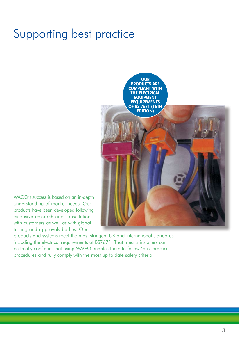### Supporting best practice



WAGO's success is based on an in-depth understanding of market needs. Our products have been developed following extensive research and consultation with customers as well as with global testing and approvals bodies. Our

products and systems meet the most stringent UK and international standards including the electrical requirements of BS7671. That means installers can be totally confident that using WAGO enables them to follow 'best practice' procedures and fully comply with the most up to date safety criteria.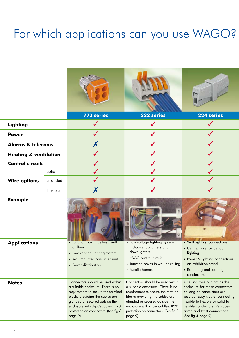## For which applications can you use WAGO?

|                                  |          | 773 series                                                                                                                                                                       | 222 series                                                                                                                                                                       | 224 series                                                                                                                                                              |
|----------------------------------|----------|----------------------------------------------------------------------------------------------------------------------------------------------------------------------------------|----------------------------------------------------------------------------------------------------------------------------------------------------------------------------------|-------------------------------------------------------------------------------------------------------------------------------------------------------------------------|
| <b>Lighting</b>                  |          | $\checkmark$                                                                                                                                                                     | $\checkmark$                                                                                                                                                                     | $\checkmark$                                                                                                                                                            |
| <b>Power</b>                     |          | $\checkmark$                                                                                                                                                                     | $\checkmark$                                                                                                                                                                     |                                                                                                                                                                         |
| <b>Alarms &amp; telecoms</b>     |          | X                                                                                                                                                                                | $\checkmark$                                                                                                                                                                     | $\checkmark$                                                                                                                                                            |
| <b>Heating &amp; ventilation</b> |          | $\checkmark$                                                                                                                                                                     | J                                                                                                                                                                                |                                                                                                                                                                         |
| <b>Control circuits</b>          |          |                                                                                                                                                                                  |                                                                                                                                                                                  |                                                                                                                                                                         |
|                                  | Solid    |                                                                                                                                                                                  |                                                                                                                                                                                  |                                                                                                                                                                         |
| <b>Wire options</b>              | Stranded |                                                                                                                                                                                  |                                                                                                                                                                                  |                                                                                                                                                                         |
|                                  | Flexible | X                                                                                                                                                                                | $\checkmark$                                                                                                                                                                     |                                                                                                                                                                         |
| <b>Example</b>                   |          |                                                                                                                                                                                  |                                                                                                                                                                                  |                                                                                                                                                                         |
| <b>Applications</b>              |          | • Junction box in ceiling, wall<br>or floor<br>• Low voltage lighting system<br>• Wall mounted consumer unit<br>• Power distribution                                             | • Low voltage lighting system<br>including uplighters and<br>downlighters<br>• HVAC control circuit<br>• Junction boxes in wall or ceiling<br>• Mobile homes                     | • Wall lighting connections<br>• Ceiling rose for pendant<br>lighting<br>• Power & lighting connections<br>on exhibition stand<br>• Extending and looping<br>conductors |
| <b>Notes</b>                     |          | Connectors should be used within<br>a suitable enclosure. There is no<br>requirement to secure the terminal<br>blocks providing the cables are<br>glanded or secured outside the | Connectors should be used within<br>a suitable enclosure. There is no<br>requirement to secure the terminal<br>blocks providing the cables are<br>glanded or secured outside the | A ceiling rose can act as the<br>enclosure for these connectors<br>as long as conductors are<br>secured. Easy way of connecting<br>flexible to flexible or solid to     |

enclosure with clips/saddles. IP20 protection on connectors. (See fig 3 flexible conductors. Replaces crimp and twist connections.

(See fig 4 page 9)

page 9)

enclosure with clips/saddles. IP20 protection on connectors. (See fig 6

page 9)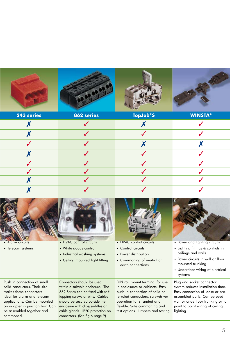

| 243 series   | 862 series | <b>TopJob®S</b> | <b>WINSTA®</b> |
|--------------|------------|-----------------|----------------|
|              |            |                 |                |
|              |            |                 |                |
| $\checkmark$ |            |                 |                |
|              |            |                 |                |
| $\checkmark$ |            |                 |                |
| $\checkmark$ |            |                 |                |
|              |            |                 |                |
|              |            |                 |                |



- Alarm circuits
- Telecom systems
- HVAC control circuits
- White goods control
- Industrial washing systems
	- Ceiling mounted light fitting



- HVAC control circuits
- Control circuits
- Power distribution
- Commoning of neutral or earth connections



- Power and lighting circuits
- Lighting fittings & controls in ceilings and walls
- Power circuits in wall or floor mounted trunking
- Underfloor wiring of electrical systems

Push in connection of small solid conductors. Their size makes these connectors ideal for alarm and telecom applications. Can be mounted on adapter in junction box. Can be assembled together and commoned.

Connectors should be used within a suitable enclosure. The 862 Series can be fixed with self tapping screws or pins. Cables should be secured outside the enclosure with clips/saddles or cable glands. IP20 protection on connectors. (See fig 6 page 9)

DIN rail mount terminal for use in enclosures or cabinets. Easy push-in connection of solid or ferruled conductors, screwdriver operation for stranded and flexible. Safe commoning and test options. Jumpers and testing. Plug and socket connector system reduces installation time. Easy connection of loose or preassembled parts. Can be used in wall or underfloor trunking or for point to point wiring of ceiling lighting.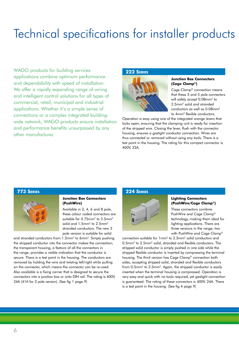### Technical specifications for installer products

WAGO products for building services applications combine optimum performance and dependability with speed of installation. We offer a rapidly expanding range of wiring and intelligent control solutions for all types of commercial, retail, municipal and industrial applications. Whether it's a simple series of connections or a complex integrated buildingwide network, WAGO products ensure installation and performance benefits unsurpassed by any other manufacturer.

#### **222 SERIES**



#### **Junction Box Connectors (Cage Clamp®)**

Cage Clamp® connection means that these 3 and 5 pole connectors will safely accept 0.08mm<sup>2</sup> to 2.5mm2 solid and stranded conductors as well as 0.08mm<sup>2</sup> to 4mm2 flexible conductors.

Operation is easy using one of the integrated orange levers that locks open, ensuring that the clamping unit is ready for insertion of the stripped wire. Closing the lever, flush with the connector housing, ensures a gastight conductor connection. Wires are thus connected or removed without using any tools. There is a test point in the housing. The rating for this compact connector is 400V, 32A.

#### **773 SERIES**



#### **Junction Box Connectors (PushWire)**

Available in 2, 4, 6 and 8 pole, these colour coded connectors are suitable for 0.75mm2 to 2.5mm2 solid and 1.5mm<sup>2</sup> to 2.5mm<sup>2</sup> stranded conductors. The new 3 pole version is suitable for solid

and stranded conductors from 1.5mm2 to 6mm2. Simply pushing the stripped conductor into the connector makes the connection; the transparent housing, a feature of all the connectors in the range, provides a visible indication that the conductor is secure. There is a test point in the housing. The conductors are removed by holding the wire and twisting left/right while pulling on the connector, which means the connector can be re-used. Also available is a fixing carrier that is designed to secure the connectors into a junction box or onto DIN rail. The rating is 400V, 24A (41A for 3 pole version). (See fig 1 page 9)

#### **224 SERIES**



#### **Lighting Connectors (PushWire/Cage Clamp®)**

These connectors combine PushWire and Cage Clamp® technology, making them ideal for lighting applications. There are three versions in the range, two with PushWire and Cage Clamp®

connection suitable for 1mm2 to 2.5mm2 solid conductors and 0.5mm2 to 2.5mm2 solid, stranded and flexible conductors. The stripped solid conductor is simply pushed in one side while the stripped flexible conductor is inserted by compressing the terminal housing. The third version has Cage Clamp® connection both sides, accepting stripped solid, stranded and flexible conductors from 0.5mm<sup>2</sup> to 2.5mm<sup>2</sup>. Again, the stripped conductor is easily inserted when the terminal housing is compressed. Operation is very easy and quick with no tools required, yet gastight connection is guaranteed. The rating of these connectors is 400V, 24A. There is a test point in the housing. (See fig 4 page 9)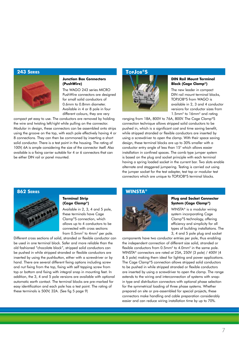#### **243 SERIES**



#### **Junction Box Connectors (PushWire)**

The WAGO 243 series MICRO PushWire connectors are designed for small solid conductors of 0.6mm to 0.8mm diameter. Available in 4 or 8 pole in four different colours, they are very

compact yet easy to use. The conductors are removed by holding the wire and twisting left/right while pulling on the connector. Modular in design, these connectors can be assembled onto strips using the groove on the top, with each pole effectively having 4 or 8 connections. They can then be commoned by inserting a short solid conductor. There is a test point in the housing. The rating of 100V, 6A is ample considering the size of the connector itself. Also available is a fixing carrier suitable for 4 or 6 connectors that can be either DIN rail or panel mounted.

#### **TOPJOB®S**



#### **DIN Rail Mount Terminal Block (Cage Clamp®)**

The new leader in compact DIN rail mount terminal blocks, TOPJOB®S from WAGO is available in 2, 3 and 4 conductor versions for conductor sizes from 1.5mm2 to 16mm2 and rating

ranging from 18A, 800V to 76A, 800V. The Cage Clamp®S connection technique allows stripped solid conductors to be pushed in, which is a significant cost and time saving benefit, while stripped stranded or flexible conductors are inserted by using a screwdriver to open the clamp. With their space saving design, these terminal blocks are up to 30% smaller with a conductor entry angle of less than 15° which allows easier installation in confined spaces. The comb type jumper system is based on the plug and socket principle with each terminal having a spring loaded socket in the current bar. Two slots enable alternate and staggered jumpering. Testing is carried out using the jumper socket for the test adapter, test tap or modular test connectors which are unique to TOPJOB®S terminal blocks.

#### **862 SERIES**



#### **Terminal Strip (Cage Clamp®)**

Available in 2, 3, 4 and 5 pole, these terminals have Cage Clamp®S connection, which allows up to 4 conductors to be connected with cross sections from 0.5mm<sup>2</sup> to 4mm<sup>2</sup> per pole.

Different cross sections of solid, stranded or flexible conductor can be used in one terminal block. Safer and more reliable than the old fashioned "chocolate block", stripped solid conductors can be pushed in while stripped stranded or flexible conductors are inserted by using the pushbutton, either with a screwdriver or by hand. There are several different fixing options including screw and nut fixing from the top, fixing with self tapping screw from top or bottom and fixing with integral snap in mounting feet. In addition, the 3, 4 and 5 pole versions are available with optional automatic earth contact. The terminal blocks are pre-marked for easy identification and each pole has a test point. The rating of these terminals is 500V, 32A. (See fig 5 page 9)

#### **WINSTA®**



#### **Plug and Socket Connector System (Cage Clamp®)**

WINSTA® is a modular wiring system incorporating Cage Clamp®S technology, offering efficiency and simplicity for all types of building installations. The 3, 4 and 5 pole plug and socket

components have two conductor entries per pole, thus enabling the independent connection of different size solid, stranded or flexible conductors from 0.5mm<sup>2</sup> to 4.0mm<sup>2</sup> in the same pole. WINSTA® connectors are rated at 25A, 250V (3 pole) / 400V (4 & 5 pole) making them ideal for lighting and power applications. The Cage Clamp®S connection allows stripped solid conductors to be pushed in while stripped stranded or flexible conductors are inserted by using a screwdriver to open the clamp. The range extends to the wiring and interconnection of systems with snapin type and distribution connectors with optional phase selection for the symmetrical loading of three phase systems. Whether prepared on site or pre-assembled for special projects, these connectors make handling and cable preparation considerably easier and can reduce wiring installation time by up to 70%.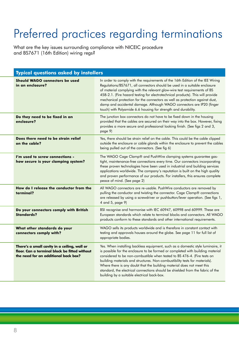# Preferred practices regarding terminations

What are the key issues surrounding compliance with NICEIC procedure and BS7671 (16th Edition) wiring regs?

| <b>Typical questions asked by installers</b>                                                                                          |                                                                                                                                                                                                                                                                                                                                                                                                                                                                                                                                                        |  |
|---------------------------------------------------------------------------------------------------------------------------------------|--------------------------------------------------------------------------------------------------------------------------------------------------------------------------------------------------------------------------------------------------------------------------------------------------------------------------------------------------------------------------------------------------------------------------------------------------------------------------------------------------------------------------------------------------------|--|
| Should WAGO connectors be used<br>in an enclosure?                                                                                    | In order to comply with the requirements of the 16th Edition of the IEE Wiring<br>Regulations/BS7671, all connectors should be used in a suitable enclosure<br>of material complying with the relevant glow-wire test requirements of BS<br>458-2.1. (Fire hazard testing for electrotechnical products). This will provide<br>mechanical protection for the connectors as well as protection against dust,<br>damp and accidental damage. Although WAGO connectors are IP20 (finger<br>touch) with Polyamide 6.6 housing for strength and durability. |  |
| Do they need to be fixed in an<br>enclosure?                                                                                          | The junction box connectors do not have to be fixed down in the housing<br>provided that the cables are secured on their way into the box. However, fixing<br>provides a more secure and professional looking finish. (See figs 2 and 3,<br>page 9)                                                                                                                                                                                                                                                                                                    |  |
| Does there need to be strain relief<br>on the cable?                                                                                  | Yes, there should be strain relief on the cable. This could be the cable clipped<br>outside the enclosure or cable glands within the enclosure to prevent the cables<br>being pulled out of the connectors. (See fig 6)                                                                                                                                                                                                                                                                                                                                |  |
| I'm used to screw connections -<br>how secure is your clamping system?                                                                | The WAGO Cage Clamp® and PushWire clamping systems guarantee gas-<br>tight, maintenance-free connections every time. Our connectors incorporating<br>these proven technologies have been used in industrial and building services<br>applications worldwide. The company's reputation is built on the high quality<br>and proven performance of our products. For installers, this ensures complete<br>peace of mind. (See page 2)                                                                                                                     |  |
| How do I release the conductor from the<br>terminal?                                                                                  | All WAGO connectors are re-usable. PushWire conductors are removed by<br>pulling the conductor and twisting the connector. Cage Clamp® connections<br>are released by using a screwdriver or pushbutton/lever operation. (See figs 1,<br>4 and 5, page 9)                                                                                                                                                                                                                                                                                              |  |
| Do your connectors comply with British<br><b>Standards?</b>                                                                           | BSI recognise and harmonise with IEC 60947, 60998 and 60999. These are<br>European standards which relate to terminal blocks and connectors. All WAGO<br>products conform to these standards and other international requirements.                                                                                                                                                                                                                                                                                                                     |  |
| What other standards do your<br>connectors comply with?                                                                               | WAGO sells its products worldwide and is therefore in constant contact with<br>testing and approvals houses around the globe. See page 11 for full list of<br>appropriate bodies.                                                                                                                                                                                                                                                                                                                                                                      |  |
| There's a small cavity in a ceiling, wall or<br>floor. Can a terminal block be fitted without<br>the need for an additional back box? | Yes. When installing backless equipment, such as a domestic style luminaire, it<br>is possible for the enclosure to be formed or completed with building material<br>considered to be non-combustible when tested to BS 476-4. (Fire tests on<br>building materials and structures. Non-combustibility tests for materials).<br>Where there is any doubt that the building material does not meet this<br>standard, the electrical connections should be shielded from the fabric of the<br>building by a suitable electrical back-box.                |  |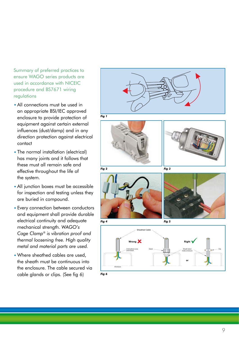Summary of preferred practices to ensure WAGO series products are used in accordance with NICEIC procedure and BS7671 wiring regulations

- All connections must be used in an appropriate BSI/IEC approved enclosure to provide protection of equipment against certain external influences (dust/damp) and in any direction protection against electrical contact
- The normal installation (electrical) has many joints and it follows that these must all remain safe and effective throughout the life of the system.
- All junction boxes must be accessible for inspection and testing unless they are buried in compound.
- Every connection between conductors and equipment shall provide durable electrical continuity and adequate mechanical strength. *WAGO's Cage Clamp® is vibration proof and thermal loosening free. High quality metal and material parts are used.*
- Where sheathed cables are used, the sheath must be continuous into the enclosure. The cable secured via cable glands or clips. (See fig 6)

















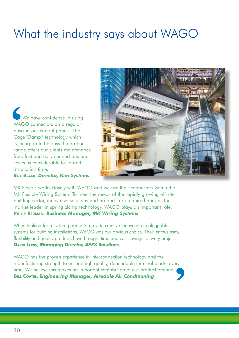### What the industry says about WAGO

We have confidence in using WAGO connectors on a regular basis in our control panels. The Cage Clamp® technology which is incorporated across the product range offers our clients maintenance free, fast and easy connections and saves us considerable build and installation time. **VAC**<br> **VAC**<br> **Cage**<br> **is inc** 

**ROY BLACK**, *Director, Kim Systems*



MK Electric works closely with WAGO and we use their connectors within the MK Flexible Wiring System. To meet the needs of the rapidly growing off-site building sector, innovative solutions and products are required and, as the market leader in spring clamp technology, WAGO plays an important role. **PHILIP REDMAN**, *Business Manager, MK Wiring Systems*

When looking for a system partner to provide creative innovation in pluggable systems for building installations, WAGO was our obvious choice. Their enthusiasm, flexibility and quality products have brought time and cost savings to every project. **DAVID LEWIS**, *Managing Director, APEX Solutions*

WAGO has the proven experience in interconnection technology and the manufacturing strength to ensure high quality, dependable terminal blocks every time. We believe this makes an important contribution to our product offering. WAGO has the proven experience in interconnection technology and the manufacturing strength to ensure high quality, dependable terminal blocks every time. We believe this makes an important contribution to our product offe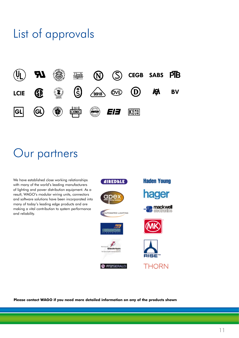### List of approvals



### Our partners

We have established close working relationships with many of the world's leading manufacturers of lighting and power distribution equipment. As a result, WAGO's modular wiring units, connectors and software solutions have been incorporated into many of today's leading edge products and are making a vital contribution to system performance and reliability.



**Please contact WAGO if you need more detailed information on any of the products shown**